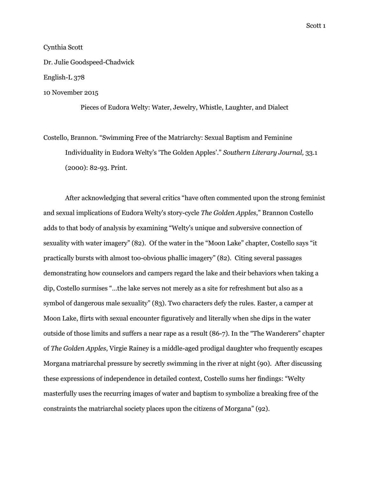## Cynthia Scott

Dr. Julie Goodspeed-Chadwick

English-L 378

10 November 2015

Pieces of Eudora Welty: Water, Jewelry, Whistle, Laughter, and Dialect

Costello, Brannon. "Swimming Free of the Matriarchy: Sexual Baptism and Feminine Individuality in Eudora Welty's 'The Golden Apples'." *Southern Literary Journal,* 33.1 (2000): 82-93. Print.

After acknowledging that several critics "have often commented upon the strong feminist and sexual implications of Eudora Welty's story-cycle *The Golden Apples*," Brannon Costello adds to that body of analysis by examining "Welty's unique and subversive connection of sexuality with water imagery" (82). Of the water in the "Moon Lake" chapter, Costello says "it practically bursts with almost too-obvious phallic imagery" (82). Citing several passages demonstrating how counselors and campers regard the lake and their behaviors when taking a dip, Costello surmises "…the lake serves not merely as a site for refreshment but also as a symbol of dangerous male sexuality" (83). Two characters defy the rules. Easter, a camper at Moon Lake, flirts with sexual encounter figuratively and literally when she dips in the water outside of those limits and suffers a near rape as a result (86-7). In the "The Wanderers" chapter of *The Golden Apples*, Virgie Rainey is a middle-aged prodigal daughter who frequently escapes Morgana matriarchal pressure by secretly swimming in the river at night (90). After discussing these expressions of independence in detailed context, Costello sums her findings: "Welty masterfully uses the recurring images of water and baptism to symbolize a breaking free of the constraints the matriarchal society places upon the citizens of Morgana" (92).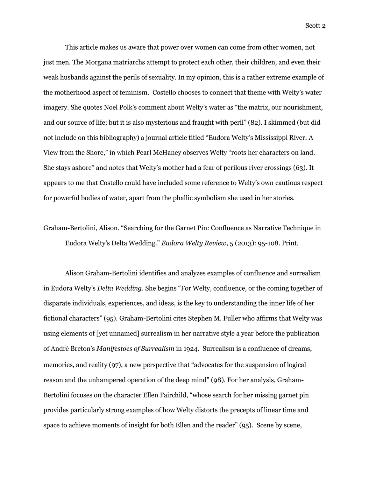This article makes us aware that power over women can come from other women, not just men. The Morgana matriarchs attempt to protect each other, their children, and even their weak husbands against the perils of sexuality. In my opinion, this is a rather extreme example of the motherhood aspect of feminism. Costello chooses to connect that theme with Welty's water imagery. She quotes Noel Polk's comment about Welty's water as "the matrix, our nourishment, and our source of life; but it is also mysterious and fraught with peril" (82). I skimmed (but did not include on this bibliography) a journal article titled "Eudora Welty's Mississippi River: A View from the Shore," in which Pearl McHaney observes Welty "roots her characters on land. She stays ashore" and notes that Welty's mother had a fear of perilous river crossings (63). It appears to me that Costello could have included some reference to Welty's own cautious respect for powerful bodies of water, apart from the phallic symbolism she used in her stories.

Graham-Bertolini, Alison. "Searching for the Garnet Pin: Confluence as Narrative Technique in Eudora Welty's Delta Wedding." *Eudora Welty Review*, 5 (2013): 95-108. Print.

Alison Graham-Bertolini identifies and analyzes examples of confluence and surrealism in Eudora Welty's *Delta Wedding.* She begins "For Welty, confluence, or the coming together of disparate individuals, experiences, and ideas, is the key to understanding the inner life of her fictional characters" (95). Graham-Bertolini cites Stephen M. Fuller who affirms that Welty was using elements of [yet unnamed] surrealism in her narrative style a year before the publication of André Breton's *Manifestoes of Surrealism* in 1924. Surrealism is a confluence of dreams, memories, and reality (97), a new perspective that "advocates for the suspension of logical reason and the unhampered operation of the deep mind" (98). For her analysis, Graham-Bertolini focuses on the character Ellen Fairchild, "whose search for her missing garnet pin provides particularly strong examples of how Welty distorts the precepts of linear time and space to achieve moments of insight for both Ellen and the reader" (95). Scene by scene,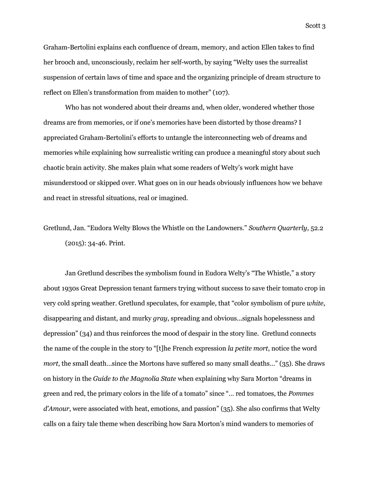Graham-Bertolini explains each confluence of dream, memory, and action Ellen takes to find her brooch and, unconsciously, reclaim her self-worth, by saying "Welty uses the surrealist suspension of certain laws of time and space and the organizing principle of dream structure to reflect on Ellen's transformation from maiden to mother" (107).

Who has not wondered about their dreams and, when older, wondered whether those dreams are from memories, or if one's memories have been distorted by those dreams? I appreciated Graham-Bertolini's efforts to untangle the interconnecting web of dreams and memories while explaining how surrealistic writing can produce a meaningful story about such chaotic brain activity. She makes plain what some readers of Welty's work might have misunderstood or skipped over. What goes on in our heads obviously influences how we behave and react in stressful situations, real or imagined.

Gretlund, Jan. "Eudora Welty Blows the Whistle on the Landowners." *Southern Quarterly,* 52.2 (2015): 34-46. Print.

Jan Gretlund describes the symbolism found in Eudora Welty's "The Whistle," a story about 1930s Great Depression tenant farmers trying without success to save their tomato crop in very cold spring weather. Gretlund speculates, for example, that "color symbolism of pure *white*, disappearing and distant, and murky *gray*, spreading and obvious...signals hopelessness and depression" (34) and thus reinforces the mood of despair in the story line. Gretlund connects the name of the couple in the story to "[t]he French expression *la petite mort*, notice the word *mort*, the small death...since the Mortons have suffered so many small deaths..." (35). She draws on history in the *Guide to the Magnolia State* when explaining why Sara Morton "dreams in green and red, the primary colors in the life of a tomato" since "… red tomatoes, the *Pommes*  d'Amour, were associated with heat, emotions, and passion" (35). She also confirms that Welty calls on a fairy tale theme when describing how Sara Morton's mind wanders to memories of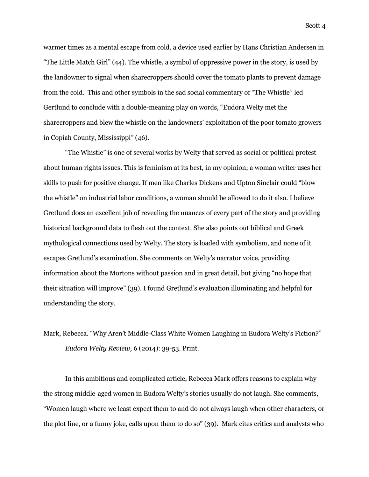warmer times as a mental escape from cold, a device used earlier by Hans Christian Andersen in "The Little Match Girl" (44). The whistle, a symbol of oppressive power in the story, is used by the landowner to signal when sharecroppers should cover the tomato plants to prevent damage from the cold. This and other symbols in the sad social commentary of "The Whistle" led Gertlund to conclude with a double-meaning play on words, "Eudora Welty met the sharecroppers and blew the whistle on the landowners' exploitation of the poor tomato growers in Copiah County, Mississippi" (46).

"The Whistle" is one of several works by Welty that served as social or political protest about human rights issues. This is feminism at its best, in my opinion; a woman writer uses her skills to push for positive change. If men like Charles Dickens and Upton Sinclair could "blow the whistle" on industrial labor conditions, a woman should be allowed to do it also. I believe Gretlund does an excellent job of revealing the nuances of every part of the story and providing historical background data to flesh out the context. She also points out biblical and Greek mythological connections used by Welty. The story is loaded with symbolism, and none of it escapes Gretlund's examination. She comments on Welty's narrator voice, providing information about the Mortons without passion and in great detail, but giving "no hope that their situation will improve" (39). I found Gretlund's evaluation illuminating and helpful for understanding the story.

Mark, Rebecca. "Why Aren't Middle-Class White Women Laughing in Eudora Welty's Fiction?" *Eudora Welty Review,* 6 (2014): 39-53. Print.

In this ambitious and complicated article, Rebecca Mark offers reasons to explain why the strong middle-aged women in Eudora Welty's stories usually do not laugh. She comments, "Women laugh where we least expect them to and do not always laugh when other characters, or the plot line, or a funny joke, calls upon them to do so" (39). Mark cites critics and analysts who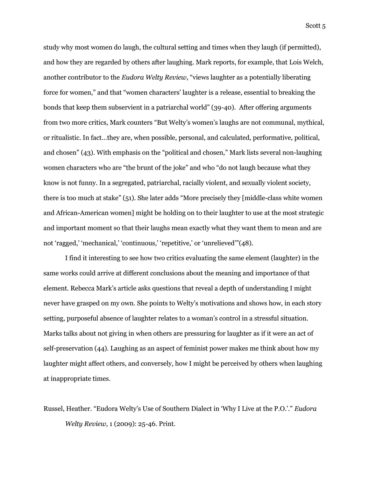study why most women do laugh, the cultural setting and times when they laugh (if permitted), and how they are regarded by others after laughing. Mark reports, for example, that Lois Welch, another contributor to the *Eudora Welty Review*, "views laughter as a potentially liberating force for women," and that "women characters' laughter is a release, essential to breaking the bonds that keep them subservient in a patriarchal world" (39-40). After offering arguments from two more critics, Mark counters "But Welty's women's laughs are not communal, mythical, or ritualistic. In fact…they are, when possible, personal, and calculated, performative, political, and chosen" (43). With emphasis on the "political and chosen," Mark lists several non-laughing women characters who are "the brunt of the joke" and who "do not laugh because what they know is not funny. In a segregated, patriarchal, racially violent, and sexually violent society, there is too much at stake" (51). She later adds "More precisely they [middle-class white women and African-American women] might be holding on to their laughter to use at the most strategic and important moment so that their laughs mean exactly what they want them to mean and are not 'ragged,' 'mechanical,' 'continuous,' 'repetitive,' or 'unrelieved'"(48).

I find it interesting to see how two critics evaluating the same element (laughter) in the same works could arrive at different conclusions about the meaning and importance of that element. Rebecca Mark's article asks questions that reveal a depth of understanding I might never have grasped on my own. She points to Welty's motivations and shows how, in each story setting, purposeful absence of laughter relates to a woman's control in a stressful situation. Marks talks about not giving in when others are pressuring for laughter as if it were an act of self-preservation (44). Laughing as an aspect of feminist power makes me think about how my laughter might affect others, and conversely, how I might be perceived by others when laughing at inappropriate times.

Russel, Heather. "Eudora Welty's Use of Southern Dialect in 'Why I Live at the P.O.'." *Eudora Welty Review,* 1 (2009): 25-46. Print.